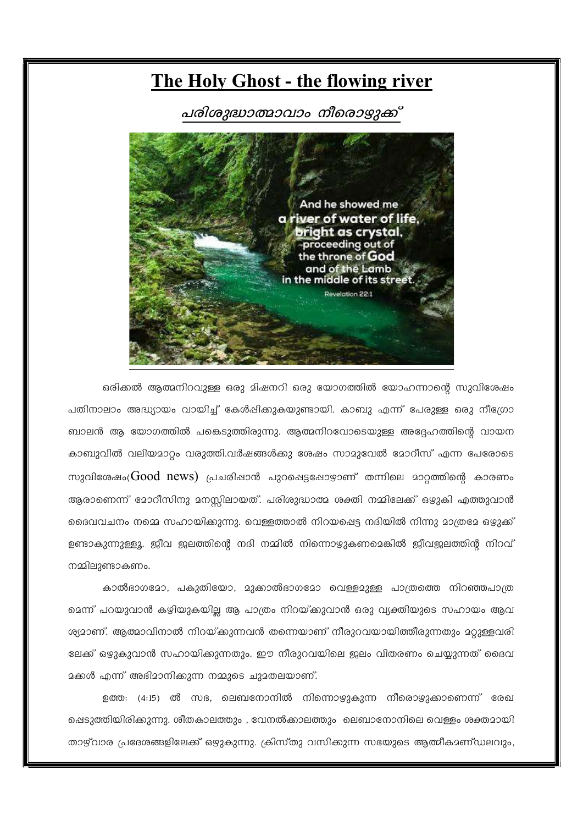# **The Holy Ghost - the flowing river**

## പരിശുദ്ധാത്മാവാം നീരൊഴ്യുക്ക്



ഒരിക്കൽ ആത്മനിറവുള്ള ഒരു മിഷനറി ഒരു യോഗത്തിൽ യോഹന്നാന്റെ സുവിശേഷം പതിനാലാം അദ്ധ്യായം വായിച്ച് കേൾഷിക്കുകയുണ്ടായി. കാബു എന്ന് പേരുള്ള ഒരു നീഗ്രോ ബാലൻ ആ യോഗത്തിൽ പങ്കെടുത്തിരുന്നു. ആത്മനിറവോടെയുള്ള അദ്ദേഹത്തിന്റെ വായന കാബുവിൽ വലിയമാറ്റം വരുത്തി.വർഷങ്ങൾക്കു ശേഷം സാമുവേൽ മോറീസ് എന്ന പേരോടെ സുവിശേഷം( $Good$   $news$ ) പ്രചരിപ്പാൻ പുറപ്പെട്ടപ്പോഴ്യാണ് തന്നിലെ മാറ്റത്തിന്റെ കാരണം ആരാണെന്ന് മോറീസിനു മനസ്സിലായത്. പരിശുദ്ധാത്മ ശക്തി നമ്മിലേക്ക് ഒഴുകി എത്തുവാൻ ദൈവവചനം നമ്മെ സഹായിക്കുന്നു. വെള്ളത്താൽ നിറയപ്പെട്ട നദിയിൽ നിന്നു മാത്രമേ ഒഴുക്ക് ഉണ്ടാകുന്നുള്ളൂ. ജീവ ജലത്തിന്റെ നദി നമ്മിൽ നിന്നൊഴുകണമെങ്കിൽ ജീവജലത്തിൻ നിറവ് നമ്മിലുണ്ടാകണം.

കാൽഭാഗമോ, പകുതിയോ, മുക്കാൽഭാഗമോ വെള്ളമുള്ള പാത്രത്തെ നിറഞ്ഞപാത്ര മെന്ന് പറയുവാൻ കഴിയുകയില്ല ആ പാത്രം നിറയ്ക്കുവാൻ ഒരു വ്യക്തിയുടെ സഹായം ആവ ശ്യമാണ്. ആത്മാവിനാൽ നിറയ്ക്കുന്നവൻ തന്നെയാണ് നീരുറവയായിത്തീരുന്നതും മറുള്ളവരി ലേക്ക് ഒഴ്ദുകുവാൻ സഹായിക്കുന്നതും. ഈ നീരുറവയിലെ ഇലം വിതരണം ചെയ്യുന്നത് ദൈവ മക്കൾ എന്ന് അഭിമാനിക്കുന്ന നമ്മുടെ ചുമതലയാണ്.

ഉത്ത: (4:15) ൽ സഭ, ലെബനോനിൽ നിന്നൊഴുകുന്ന നീരൊഴുക്കാണെന്ന് രേഖ പ്പെടുത്തിയിരിക്കുന്നു. ശീതകാലത്തും , വേനൽക്കാലത്തും ലെബാനോനിലെ വെള്ളം ശക്തമായി താഴ്വാര പ്രദേശങ്ങളിലേക്ക് ഒഴുകുന്നു. ക്രിസ്തു വസിക്കുന്ന സഭയുടെ ആത്മീകമണ്ഡലവും.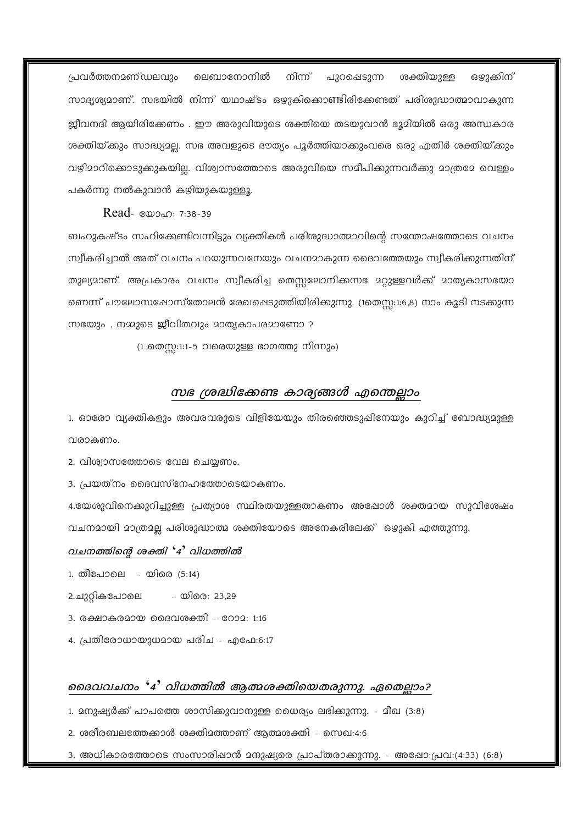പ്രവർത്തനമണ്ഡലവും ലെബാനോനിൽ നിന്ന് പുറഷെടുന്ന ശക്തിയുള്ള ഒഴുക്കിന് സാദൃശ്യമാണ്. സഭയിൽ നിന്ന് യഥാഷ്ടം ഒഴുകിക്കൊണ്ടിരിക്കേണ്ടത് പരിശുദ്ധാത്മാവാകുന്ന ജീവനദി ആയിരിക്കേണം . ഈ അരുവിയുടെ ശക്തിയെ തടയുവാൻ ഭൂമിയിൽ ഒരു അന്ധകാര ശക്തിയ്ക്കും സാദ്ധ്യമല്ല. സഭ അവളുടെ ദൗത്യം പൂർത്തിയാക്കുംവരെ ഒരു എതിർ ശക്തിയ്ക്കും വഴിമാറിക്കൊടുക്കുകയില്ല. വിശ്വാസത്തോടെ അരുവിയെ സമീപിക്കുന്നവർക്കു മാത്രമേ വെള്ളം പകർന്നു നൽകുവാൻ കഴിയുകയുള്ളൂ.

Read- 80000: 7:38-39

ബഹുകഷ്ടം സഹിക്കേണ്ടിവന്നിട്ടും വ്യക്തികൾ പരിശുദ്ധാത്മാവിന്റെ സന്തോഷത്തോടെ വചനം സ്വീകരിച്ചാൽ അത് വചനം പറയുന്നവനേയും വചനമാകുന്ന ദൈവത്തേയും സ്വീകരിക്കുന്നതിന് തുല്യമാണ്. അപ്രകാരം വചനം സ്വീകരിച്ച തെസ്സലോനിക്കസഭ മറ്റുള്ളവർക്ക് മാതൃകാസഭയാ ണെന്ന് പൗലോസഷോസ്തോലൻ രേഖപ്പെടുത്തിയിരിക്കുന്നു. (1തെസ്റ്റ:1:6,8) നാം കൂടി നടക്കുന്ന സഭയും, നമ്മുടെ ജീവിതവും മാതൃകാപരമാണോ ?

(1 തെസ്സ:1:1-5 വരെയുള്ള ഭാഗത്തു നിന്നും)

### സഭ ശ്രദ്ധിക്കേണ്ട കാര്യങ്ങൾ എന്തെല്ലാം

1. ഓരോ വ്യക്തികളും അവരവരുടെ വിളിയേയും തിരഞ്ഞെടുപ്പിനേയും കുറിച്ച് ബോദ്ധ്യമുള്ള വരാകണം.

2. വിശ്വാസത്തോടെ വേല ചെയ്യണം.

3. പ്രയത്നം ദൈവസ്നേഹത്തോടെയാകണം.

4.യേശുവിനെക്കുറിച്ചുള്ള പ്രത്യാശ സ്ഥിരതയുള്ളതാകണം അഷോൾ ശക്തമായ സുവിശേഷം വചനമായി മാത്രമല്ല പരിശുദ്ധാത്മ ശക്തിയോടെ അനേകരിലേക്ക് ഒഴുകി എത്തുന്നു.

#### വചനത്തിന്റെ ശക്തി '4' വിധത്തിൽ

- 1. തീപോലെ യിരെ (5:14)
- യിരെ: 23.29 2.ചുറികപോലെ
- 3. രക്ഷാകരമായ ദൈവശക്തി റോമ: 1:16
- 4. പ്രതിരോധായുധമായ പരിച എഫേ:6:17

#### ജൈവവചനം '4' വിധത്തിൽ ആത്മശക്തിയെതരുന്നു. ഏതെല്ലാം?

- 1. മനുഷ്യർക്ക് പാപത്തെ ശാസിക്കുവാനുള്ള ധൈര്യം ലഭിക്കുന്നു. മീഖ (3:8)
- 2. ശരീരബലത്തേക്കാൾ ശക്തിമത്താണ് ആത്മശക്തി സെഖ:4:6
- 3. അധികാരത്തോടെ സംസാരിഷാൻ മനുഷ്യരെ പ്രാപ്തരാക്കുന്നു. അഷോ:പ്രവ:(4:33) (6:8)